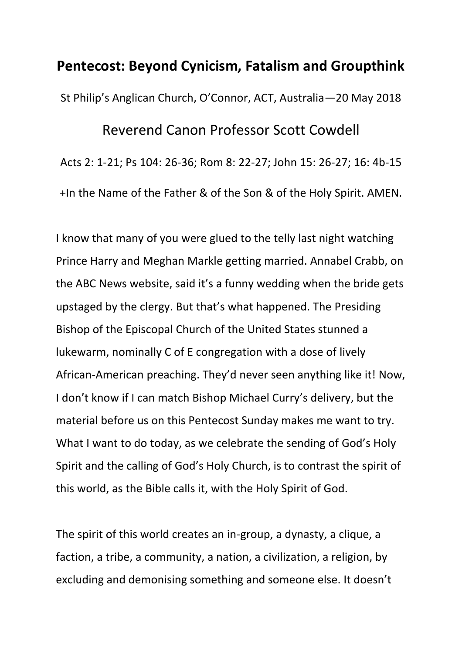## **Pentecost: Beyond Cynicism, Fatalism and Groupthink**

St Philip's Anglican Church, O'Connor, ACT, Australia—20 May 2018

## Reverend Canon Professor Scott Cowdell

Acts 2: 1-21; Ps 104: 26-36; Rom 8: 22-27; John 15: 26-27; 16: 4b-15 +In the Name of the Father & of the Son & of the Holy Spirit. AMEN.

I know that many of you were glued to the telly last night watching Prince Harry and Meghan Markle getting married. Annabel Crabb, on the ABC News website, said it's a funny wedding when the bride gets upstaged by the clergy. But that's what happened. The Presiding Bishop of the Episcopal Church of the United States stunned a lukewarm, nominally C of E congregation with a dose of lively African-American preaching. They'd never seen anything like it! Now, I don't know if I can match Bishop Michael Curry's delivery, but the material before us on this Pentecost Sunday makes me want to try. What I want to do today, as we celebrate the sending of God's Holy Spirit and the calling of God's Holy Church, is to contrast the spirit of this world, as the Bible calls it, with the Holy Spirit of God.

The spirit of this world creates an in-group, a dynasty, a clique, a faction, a tribe, a community, a nation, a civilization, a religion, by excluding and demonising something and someone else. It doesn't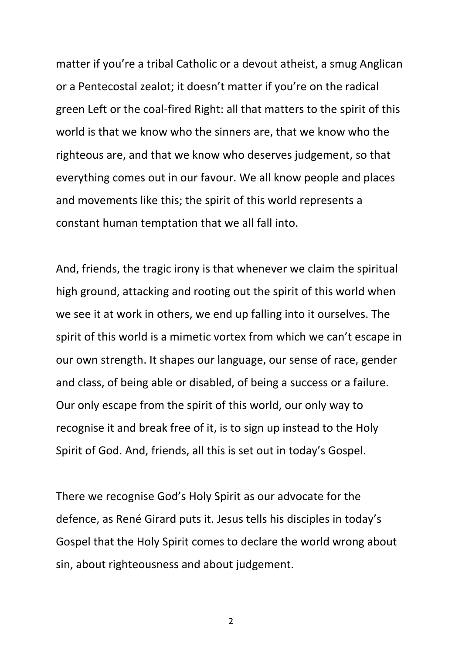matter if you're a tribal Catholic or a devout atheist, a smug Anglican or a Pentecostal zealot; it doesn't matter if you're on the radical green Left or the coal-fired Right: all that matters to the spirit of this world is that we know who the sinners are, that we know who the righteous are, and that we know who deserves judgement, so that everything comes out in our favour. We all know people and places and movements like this; the spirit of this world represents a constant human temptation that we all fall into.

And, friends, the tragic irony is that whenever we claim the spiritual high ground, attacking and rooting out the spirit of this world when we see it at work in others, we end up falling into it ourselves. The spirit of this world is a mimetic vortex from which we can't escape in our own strength. It shapes our language, our sense of race, gender and class, of being able or disabled, of being a success or a failure. Our only escape from the spirit of this world, our only way to recognise it and break free of it, is to sign up instead to the Holy Spirit of God. And, friends, all this is set out in today's Gospel.

There we recognise God's Holy Spirit as our advocate for the defence, as René Girard puts it. Jesus tells his disciples in today's Gospel that the Holy Spirit comes to declare the world wrong about sin, about righteousness and about judgement.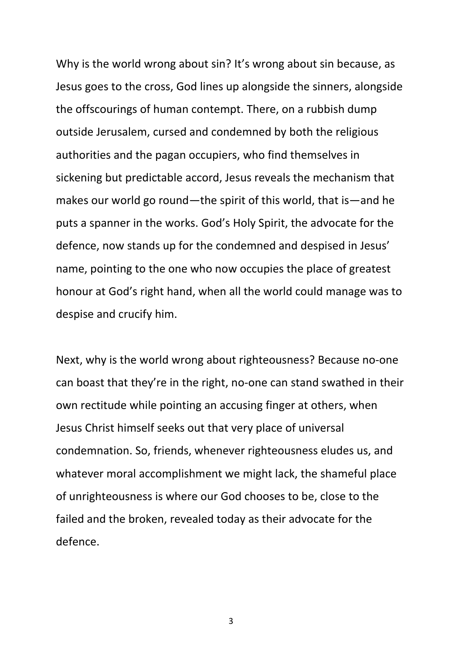Why is the world wrong about sin? It's wrong about sin because, as Jesus goes to the cross, God lines up alongside the sinners, alongside the offscourings of human contempt. There, on a rubbish dump outside Jerusalem, cursed and condemned by both the religious authorities and the pagan occupiers, who find themselves in sickening but predictable accord, Jesus reveals the mechanism that makes our world go round—the spirit of this world, that is—and he puts a spanner in the works. God's Holy Spirit, the advocate for the defence, now stands up for the condemned and despised in Jesus' name, pointing to the one who now occupies the place of greatest honour at God's right hand, when all the world could manage was to despise and crucify him.

Next, why is the world wrong about righteousness? Because no-one can boast that they're in the right, no-one can stand swathed in their own rectitude while pointing an accusing finger at others, when Jesus Christ himself seeks out that very place of universal condemnation. So, friends, whenever righteousness eludes us, and whatever moral accomplishment we might lack, the shameful place of unrighteousness is where our God chooses to be, close to the failed and the broken, revealed today as their advocate for the defence.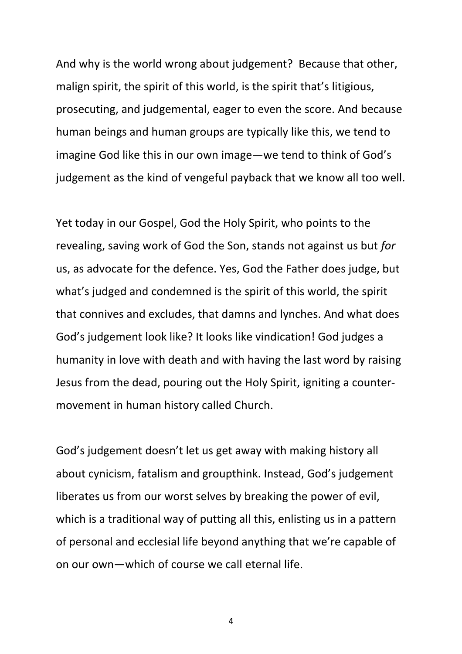And why is the world wrong about judgement? Because that other, malign spirit, the spirit of this world, is the spirit that's litigious, prosecuting, and judgemental, eager to even the score. And because human beings and human groups are typically like this, we tend to imagine God like this in our own image—we tend to think of God's judgement as the kind of vengeful payback that we know all too well.

Yet today in our Gospel, God the Holy Spirit, who points to the revealing, saving work of God the Son, stands not against us but *for* us, as advocate for the defence. Yes, God the Father does judge, but what's judged and condemned is the spirit of this world, the spirit that connives and excludes, that damns and lynches. And what does God's judgement look like? It looks like vindication! God judges a humanity in love with death and with having the last word by raising Jesus from the dead, pouring out the Holy Spirit, igniting a countermovement in human history called Church.

God's judgement doesn't let us get away with making history all about cynicism, fatalism and groupthink. Instead, God's judgement liberates us from our worst selves by breaking the power of evil, which is a traditional way of putting all this, enlisting us in a pattern of personal and ecclesial life beyond anything that we're capable of on our own—which of course we call eternal life.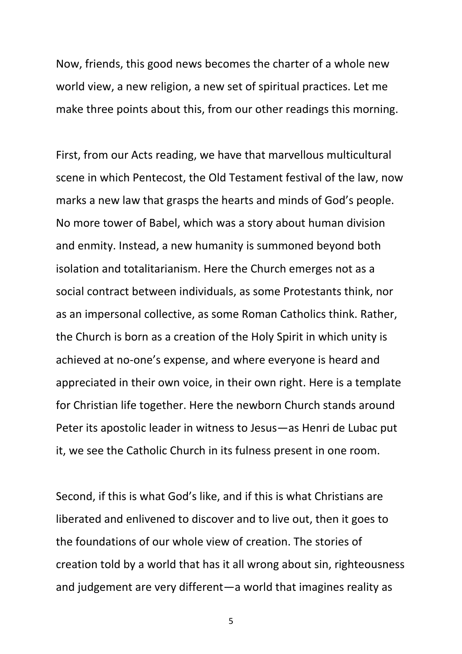Now, friends, this good news becomes the charter of a whole new world view, a new religion, a new set of spiritual practices. Let me make three points about this, from our other readings this morning.

First, from our Acts reading, we have that marvellous multicultural scene in which Pentecost, the Old Testament festival of the law, now marks a new law that grasps the hearts and minds of God's people. No more tower of Babel, which was a story about human division and enmity. Instead, a new humanity is summoned beyond both isolation and totalitarianism. Here the Church emerges not as a social contract between individuals, as some Protestants think, nor as an impersonal collective, as some Roman Catholics think. Rather, the Church is born as a creation of the Holy Spirit in which unity is achieved at no-one's expense, and where everyone is heard and appreciated in their own voice, in their own right. Here is a template for Christian life together. Here the newborn Church stands around Peter its apostolic leader in witness to Jesus—as Henri de Lubac put it, we see the Catholic Church in its fulness present in one room.

Second, if this is what God's like, and if this is what Christians are liberated and enlivened to discover and to live out, then it goes to the foundations of our whole view of creation. The stories of creation told by a world that has it all wrong about sin, righteousness and judgement are very different—a world that imagines reality as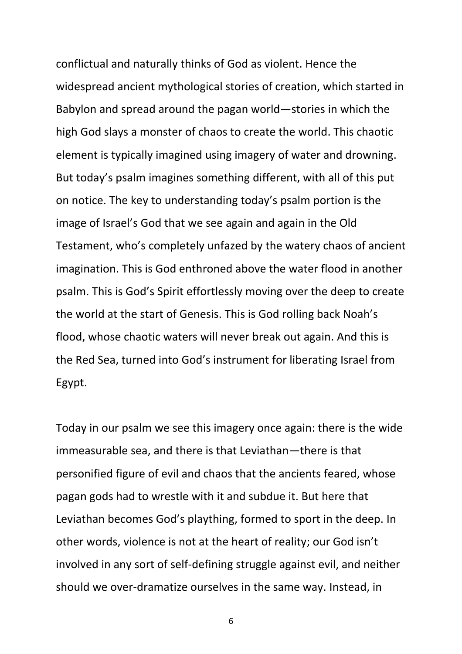conflictual and naturally thinks of God as violent. Hence the widespread ancient mythological stories of creation, which started in Babylon and spread around the pagan world—stories in which the high God slays a monster of chaos to create the world. This chaotic element is typically imagined using imagery of water and drowning. But today's psalm imagines something different, with all of this put on notice. The key to understanding today's psalm portion is the image of Israel's God that we see again and again in the Old Testament, who's completely unfazed by the watery chaos of ancient imagination. This is God enthroned above the water flood in another psalm. This is God's Spirit effortlessly moving over the deep to create the world at the start of Genesis. This is God rolling back Noah's flood, whose chaotic waters will never break out again. And this is the Red Sea, turned into God's instrument for liberating Israel from Egypt.

Today in our psalm we see this imagery once again: there is the wide immeasurable sea, and there is that Leviathan—there is that personified figure of evil and chaos that the ancients feared, whose pagan gods had to wrestle with it and subdue it. But here that Leviathan becomes God's plaything, formed to sport in the deep. In other words, violence is not at the heart of reality; our God isn't involved in any sort of self-defining struggle against evil, and neither should we over-dramatize ourselves in the same way. Instead, in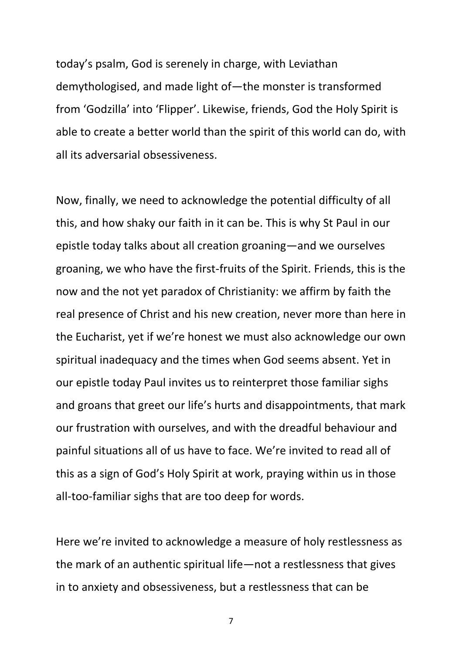today's psalm, God is serenely in charge, with Leviathan demythologised, and made light of—the monster is transformed from 'Godzilla' into 'Flipper'. Likewise, friends, God the Holy Spirit is able to create a better world than the spirit of this world can do, with all its adversarial obsessiveness.

Now, finally, we need to acknowledge the potential difficulty of all this, and how shaky our faith in it can be. This is why St Paul in our epistle today talks about all creation groaning—and we ourselves groaning, we who have the first-fruits of the Spirit. Friends, this is the now and the not yet paradox of Christianity: we affirm by faith the real presence of Christ and his new creation, never more than here in the Eucharist, yet if we're honest we must also acknowledge our own spiritual inadequacy and the times when God seems absent. Yet in our epistle today Paul invites us to reinterpret those familiar sighs and groans that greet our life's hurts and disappointments, that mark our frustration with ourselves, and with the dreadful behaviour and painful situations all of us have to face. We're invited to read all of this as a sign of God's Holy Spirit at work, praying within us in those all-too-familiar sighs that are too deep for words.

Here we're invited to acknowledge a measure of holy restlessness as the mark of an authentic spiritual life—not a restlessness that gives in to anxiety and obsessiveness, but a restlessness that can be